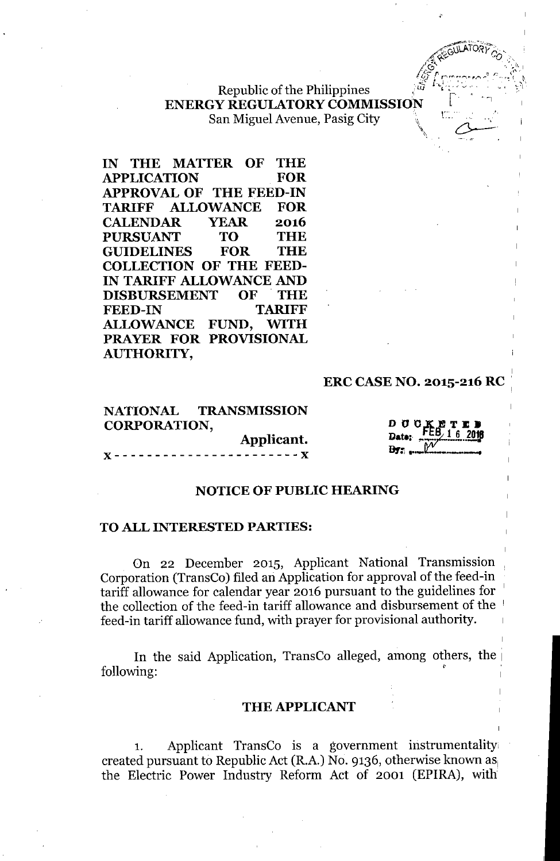Republic of the Philippines ENERGY REGULATORYCOMMISSION <sup>L</sup> San Miguel Avenue, Pasig City

IN THE MATTER OF THE APPLICATION FOR APPROVAL OF THE FEED-IN TARIFF ALLOWANCE FOR CALENDAR YEAR 2016 PURSUANT TO THE GUIDELINES FOR THE COLLECTION OF THE FEED-IN TARIFF ALLOWANCE AND DISBURSEMENT OF' THE FEED-IN TARIFF ALLOWANCE FUND, WITH PRAYER FOR PROVISIONAL AUTHORITY,

#### ERC CASE NO. 2015-216 RC '

NATIONAL TRANSMISSION CORPORATION,

Applicant. "- - - - - - - - - - - - - - - - - - - - - - - "



;'

 $\pi$  $\widetilde{\text{A}}$   $\widetilde{\text{O}}$   $\widetilde{\text{O}}$   $\widetilde{\text{O}}$  $40077$ **A GUILATORY COMMENT**  $\sqrt{\hat{G}}$  ... *;/ .••• -" ~IC (1'\. :.ll...' '* r'-'r'.-,\_~",,",r . *r.".* <sup>j</sup> <sup>~</sup>  $\mathscr{L}$  . The latter work  $\mathscr{L}$ 

#### NOTICE OF PUBLIC HEARING

#### TO ALL INTERESTED PARTIES:

On 22 December 2015, Applicant National Transmission Corporation (TransCo) filed an Application for approval of the feed-in tariff allowance for calendar year 2016 pursuant to the guidelines for <sup>1</sup> the collection of the feed-in tariff allowance and disbursement of the <sup>1</sup> feed-in tariff allowance fund, with prayer for provisional authority.

In the said Application, TransCo alleged, among others, the following:

#### THE APPLICANT

1. Applicant TransCo is a government instrumentality, created pursuant to Republic Act (R.A.) No. 9136, otherwise known as the Electric Power Industry Reform Act of 2001 (EPIRA), with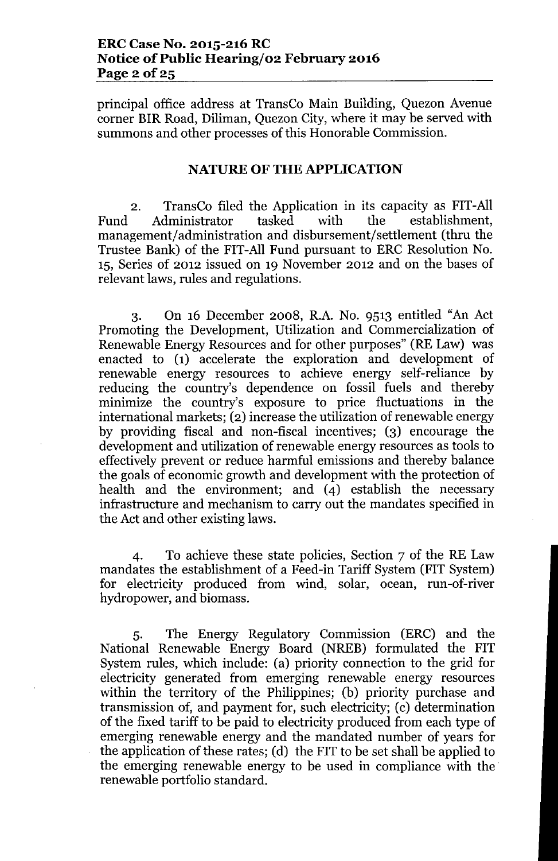principal office address at TransCo Main Building, Quezon Avenue corner BIR Road, Diliman, Quezon City, where it may be served with summons and other processes of this Honorable Commission.

#### NATURE OF THE APPLICATION

2. TransCo filed the Application in its capacity as FIT-All Fund Administrator tasked with the management/administration and disbursement/settlement (thru the Trustee Bank) of the FIT-All Fund pursuant to ERC Resolution No. 15, Series of 2012 issued on 19 November 2012 and on the bases of relevant laws, rules and regulations.

3. On 16 December 2008, R.A. No. 9513 entitled "An Act Promoting the Development, Utilization and Commercialization of Renewable Energy Resources and for other purposes" (RE Law) was enacted to (1) accelerate the exploration and development of renewable energy resources to achieve energy self-reliance by reducing the country's dependence on fossil fuels and thereby minimize the country's exposure to price fluctuations in the international markets; (2) increase the utilization of renewable energy by providing fiscal and non-fiscal incentives; (3) encourage the development and utilization of renewable energy resources as tools to effectively prevent or reduce harmful emissions and thereby balance the goals of economic growth and development with the protection of health and the environment; and (4) establish the necessary infrastructure and mechanism to carry out the mandates specified in the Act and other existing laws.

4. To achieve these state policies, Section 7 of the RE Law mandates the establishment of a Feed-in Tariff System (FIT System) for electricity produced from wind, solar, ocean, run-of-river hydropower, and biomass.

5. The Energy Regulatory Commission (ERC) and the National Renewable Energy Board (NREB) formulated the FIT System rules, which include: (a) priority connection to the grid for electricity generated from emerging renewable energy resources within the territory of the Philippines; (b) priority purchase and transmission of, and payment for, such electricity; (c) determination of the fixed tariff to be paid to electricity produced from each type of emerging renewable energy and the mandated number of years for the application of these rates; (d) the FIT to be set shall be applied to the emerging renewable energy to be used in compliance with the. renewable portfolio standard.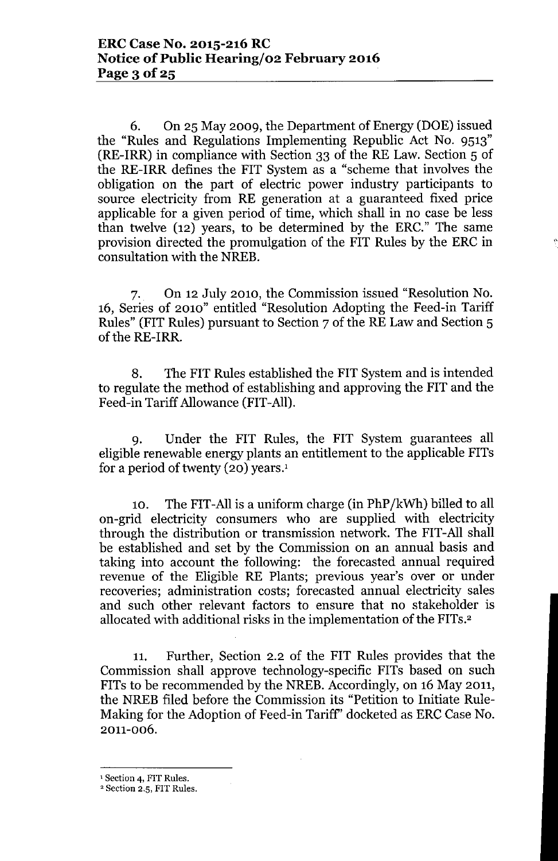6. On 25 May 2009, the Department of Energy (DOE) issued the "Rules and Regulations Implementing Republic Act No. 9513" (RE-IRR) in compliance with Section 33 of the RE Law. Section 5 of the RE-IRR defines the FIT System as a "scheme that involves the obligation on the part of electric power industry participants to source electricity from RE generation at a guaranteed fixed price applicable for a given period of time, which shall in no case be less than twelve (12) years, to be determined by the ERC." The same provision directed the promulgation of the FIT Rules by the ERC in consultation with the NREB.

7. On 12 July 2010, the Commission issued "Resolution No. 16, Series of 2010" entitled "Resolution Adopting the Feed-in Tariff Rules" (FIT Rules) pursuant to Section 7 of the RE Law and Section 5 of the RE-IRR.

8. The FIT Rules established the FIT System and is intended to regulate the method of establishing and approving the FIT and the Feed-in Tariff Allowance (FIT-All).

9. Under the FIT Rules, the FIT System guarantees all eligible renewable energy plants an entitlement to the applicable FITs for a period of twenty (20) years.!

10. The FIT-All is a uniform charge (in PhP/kWh) billed to all on-grid electricity consumers who are supplied with electricity through the distribution or transmission network. The FIT-All shall be established and set by the Commission on an annual basis and taking into account the following: the forecasted annual required revenue of the Eligible RE Plants; previous year's over or under recoveries; administration costs; forecasted annual electricity sales and such other relevant factors to ensure that no stakeholder is allocated with additional risks in the implementation of the FITs.2

11. Further, Section 2.2 of the FIT Rules provides that the Commission shall approve technology-specific FITs based on such FITs to be recommended by the NREB. Accordingly, on 16 May 2011, the NREB filed before the Commission its "Petition to Initiate Rule-Making for the Adoption of Feed-in Tariff' docketed as ERC Case No. 2011-006.

<sup>&</sup>lt;sup>1</sup> Section 4, FIT Rules.

<sup>2</sup> Section 2.5, FIT Rules.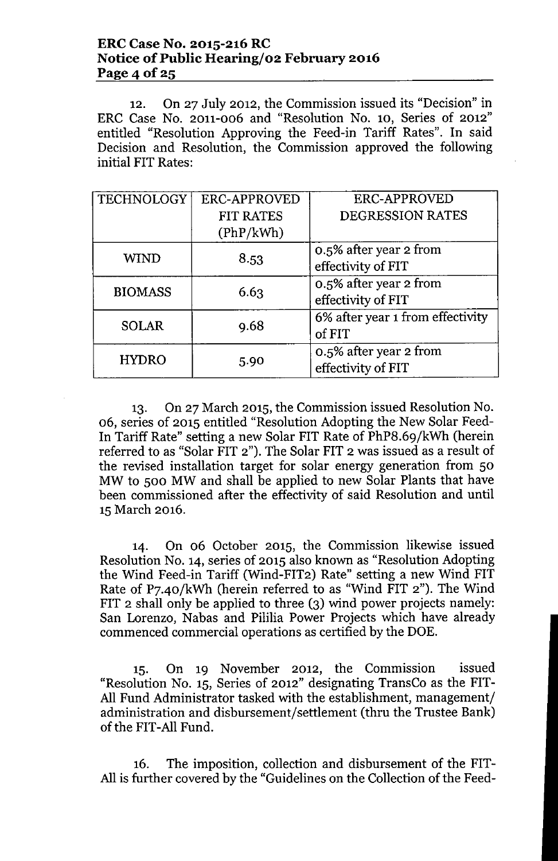#### ERC Case No. 2015-216 RC Notice of Public Hearing/o2 February 2016 Page 4 of  $25$

12. On 27 July 2012, the Commission issued its "Decision" in ERC Case No. 2011-006 and "Resolution No. 10, Series of 2012" entitled "Resolution Approving the Feed-in Tariff Rates". In said Decision and Resolution, the Commission approved the following initial FIT Rates:

| <b>TECHNOLOGY</b> | <b>ERC-APPROVED</b> | <b>ERC-APPROVED</b>                          |  |
|-------------------|---------------------|----------------------------------------------|--|
|                   | <b>FIT RATES</b>    | DEGRESSION RATES                             |  |
|                   | (PhP/kWh)           |                                              |  |
| <b>WIND</b>       | 8.53                | 0.5% after year 2 from<br>effectivity of FIT |  |
|                   |                     |                                              |  |
| <b>BIOMASS</b>    | 6.63                | 0.5% after year 2 from                       |  |
|                   |                     | effectivity of FIT                           |  |
| <b>SOLAR</b>      | 9.68                | 6% after year 1 from effectivity<br>of FIT   |  |
| <b>HYDRO</b>      | 5.90                | 0.5% after year 2 from<br>effectivity of FIT |  |

13. On 27 March 2015, the Commission issued Resolution No. 06, series of 2015 entitled "Resolution Adopting the New Solar Feed-In Tariff Rate" setting a new Solar FIT Rate of PhP8.69/kWh (herein referred to as "Solar FIT 2"). The Solar FIT 2 was issued as a result of the revised installation target for solar energy generation from 50 MW to 500 MW and shall be applied to new Solar Plants that have been commissioned after the effectivity of said Resolution and until 15 March 2016.

14. On 06 October 2015, the Commission likewise issued Resolution No. 14, series of 2015 also known as "Resolution Adopting the Wind Feed-in Tariff (Wind-FIT2) Rate" setting a new Wind FIT Rate of P7.40/kWh (herein referred to as "Wind FIT 2"). The Wind FIT 2 shall only be applied to three (3) wind power projects namely: San Lorenzo, Nabas and Pililia Power Projects which have already commenced commercial operations as certified by the DOE.

15. On 19 November 2012, the Commission issued "Resolution No. 15, Series of 2012" designating TransCo as the FIT-All Fund Administrator tasked with the establishment, management/ administration and disbursement/settlement (thru the Trustee Bank) of the FIT-All Fund.

16. The imposition, collection and disbursement of the FIT-All is further covered by the "Guidelines on the Collection of the Feed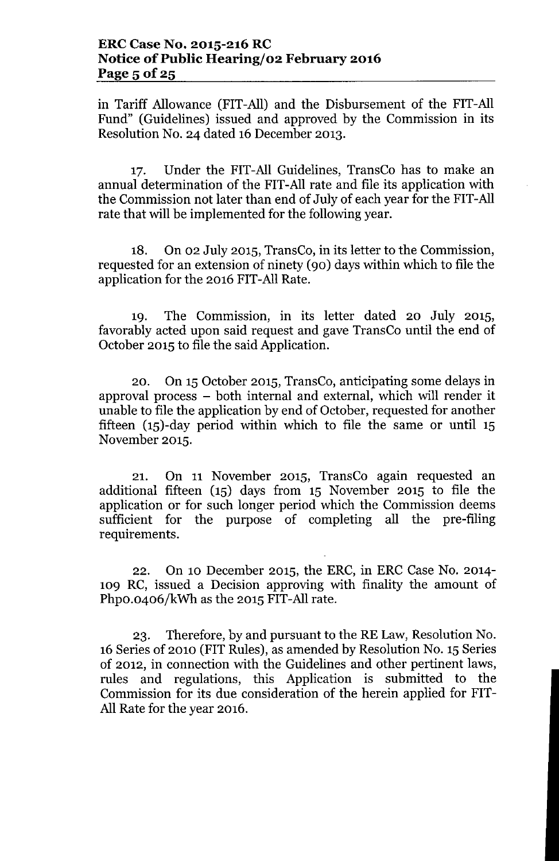in Tariff Allowance (FIT-All) and the Disbursement of the FIT-All Fund" (Guidelines) issued and approved by the Commission in its Resolution No. 24 dated 16 December 2013.

17. Under the FIT-All Guidelines, TransCo has to make an annual determination of the FIT-All rate and file its application with the Commission not later than end of July of each year for the FIT-All rate that will be implemented for the following year.

18. On 02 July 2015, TransCo, in its letter to the Commission, requested for an extension of ninety (90) days within which to file the application for the 2016 FIT-All Rate.

19. The Commission, in its letter dated 20 July 2015, favorably acted upon said request and gave TransCo until the end of October 2015 to file the said Application.

20. On 15 October 2015, TransCo, anticipating some delays in approval process - both internal and external, which will render it unable to file the application by end of October, requested for another fifteen (15)-day period within which to file the same or until 15 November 2015.

21. On 11 November 2015, TransCo again requested an additional fifteen (15) days from 15 November 2015 to file the application or for such longer period which the Commission deems sufficient for the purpose of completing all the pre-filing requirements.

22. On 10 December 2015, the ERC, in ERC Case No. 2014- 109 RC, issued a Decision approving with finality the amount of Phpo.0406/kWh as the 2015 FIT-All rate.

23. Therefore, by and pursuant to the RE Law, Resolution No. 16 Series of 2010 (FIT Rules), as amended by Resolution No. 15 Series of 2012, in connection with the Guidelines and other pertinent laws, rules and regulations, this Application is submitted to the Commission for its due consideration of the herein applied for FIT-All Rate for the year 2016.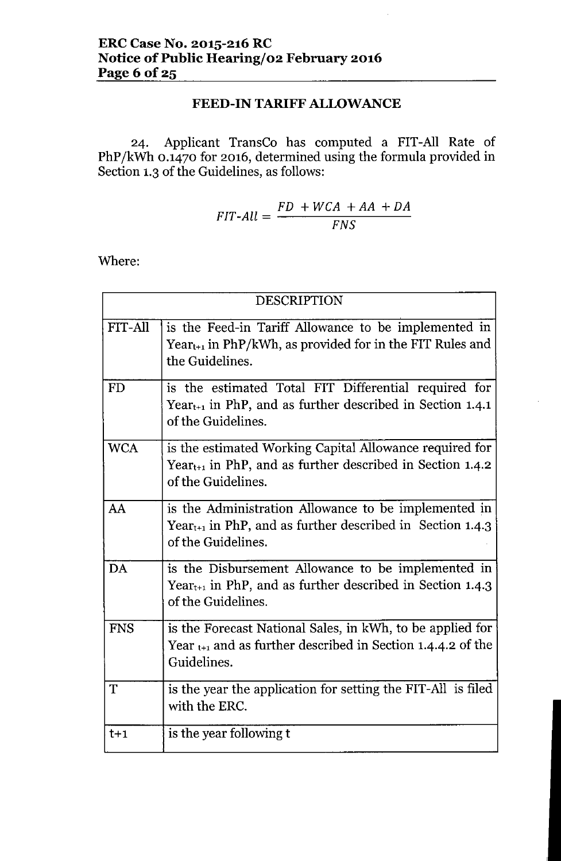# FEED-IN TARIFF ALLOWANCE

24. Applicant TransCo has computed a FIT-All Rate of PhP/kWh 0.1470 for 2016, determined using the formula provided in Section 1.3 of the Guidelines, as follows:

$$
FIT-All = \frac{FD + WCA + AA + DA}{FNS}
$$

Where:

|                | <b>DESCRIPTION</b>                                                                                                                                       |  |  |
|----------------|----------------------------------------------------------------------------------------------------------------------------------------------------------|--|--|
| <b>FIT-All</b> | is the Feed-in Tariff Allowance to be implemented in<br>$Year_{t+1}$ in PhP/kWh, as provided for in the FIT Rules and<br>the Guidelines.                 |  |  |
| <b>FD</b>      | is the estimated Total FIT Differential required for<br>Year <sub>t+1</sub> in PhP, and as further described in Section 1.4.1<br>of the Guidelines.      |  |  |
| <b>WCA</b>     | is the estimated Working Capital Allowance required for<br>Year <sub>t+1</sub> in PhP, and as further described in Section $1.4.2$<br>of the Guidelines. |  |  |
| AA             | is the Administration Allowance to be implemented in<br>Year <sub>t+1</sub> in PhP, and as further described in Section 1.4.3<br>of the Guidelines.      |  |  |
| DA             | is the Disbursement Allowance to be implemented in<br>Year <sub>t+1</sub> in PhP, and as further described in Section 1.4.3<br>of the Guidelines.        |  |  |
| <b>FNS</b>     | is the Forecast National Sales, in kWh, to be applied for<br>Year $_{t+1}$ and as further described in Section 1.4.4.2 of the<br>Guidelines.             |  |  |
| T              | is the year the application for setting the FIT-All is filed<br>with the ERC.                                                                            |  |  |
| $t+1$          | is the year following t                                                                                                                                  |  |  |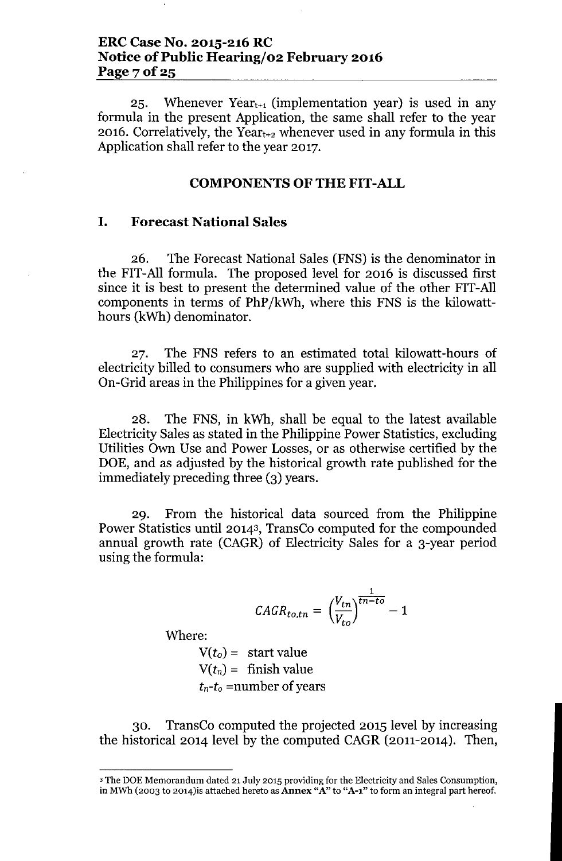#### **ERC Case No. 2015-216 RC Notice** of Public **Hearing/o2 February 2016** Page 7 of 25

25. Whenever  $Year_{t+1}$  (implementation year) is used in any formula in the present Application, the same shall refer to the year 2016. Correlatively, the Year $_{t+2}$  whenever used in any formula in this Application shall refer to the year 2017.

#### **COMPONENTS OF THE FIT-ALL**

#### **I. Forecast National Sales**

26. The Forecast National Sales (FNS) is the denominator in the FIT-All formula. The proposed level for 2016 is discussed first since it is best to present the determined value of the other FIT-All components in terms of PhP/kWh, where this FNS is the kilowatthours (kWh) denominator.

27. The FNS refers to an estimated total kilowatt-hours of electricity billed to consumers who are supplied with electricity in all On-Grid areas in the Philippines for a given year.

28. The FNS, in kWh, shall be equal to the latest available Electricity Sales as stated in the Philippine Power Statistics, excluding Utilities Own Use and Power Losses, or as otherwise certified by the DOE, and as adjusted by the historical growth rate published for the immediately preceding three (3) years.

29. From the historical data sourced from the Philippine Power Statistics until 20143, TransCo computed for the compounded annual growth rate (CAGR) of Electricity Sales for a 3-year period using the formula:

$$
CAGR_{to,tn} = \left(\frac{V_{tn}}{V_{to}}\right)^{\frac{1}{tn-to}} - 1
$$

Where:

 $V(t_o) =$  start value  $V(t_n) =$  finish value  $t_n-t_o$  =number of years

30. TransCo computed the projected 2015 level by increasing the historical 2014 level by the computed CAGR (2011-2014). Then,

<sup>3</sup> The DOE Memorandum dated 21 July 2015 providing for the Electricity and Sales Consumption, in MWh (2003 to 2014) is attached hereto as **Annex** "A" to "A-1" to form an integral part hereof.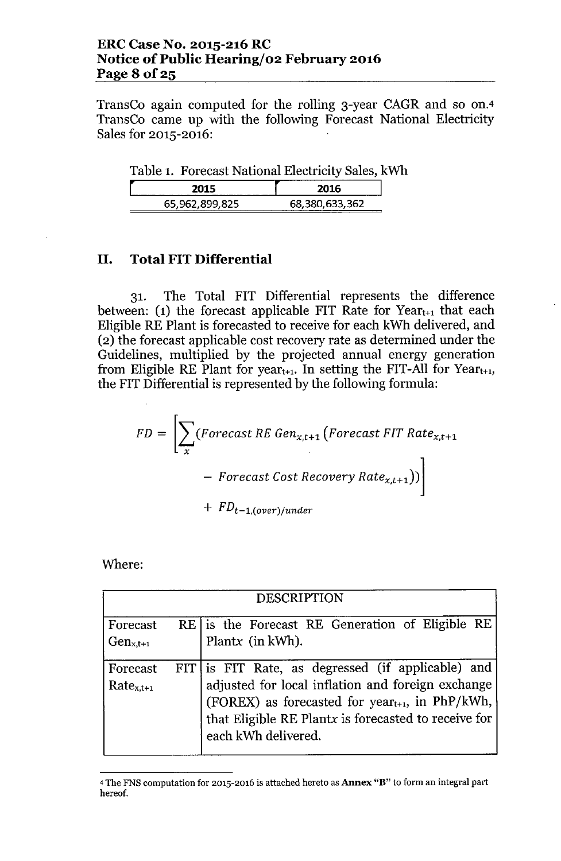### ERC Case No. 2015-216 RC Notice of Public Hearing/o2 February 2016 Page 8 of 25

TransCo again computed for the rolling 3-year CAGR and so on.<sup>4</sup> TransCo came up with the following Forecast National Electricity Sales for 2015-2016:

Table 1. Forecast National Electricity Sales, kWh

| 2015           | 2016           |
|----------------|----------------|
| 65,962,899,825 | 68,380,633,362 |

#### II. Total FIT Differential

31. The Total FIT Differential represents the difference between: (1) the forecast applicable FIT Rate for  $Year_{t+1}$  that each Eligible RE Plant is forecasted to receive for each kWh delivered, and (2) the forecast applicable cost recovery rate as determined under the Guidelines, multiplied by the projected annual energy generation from Eligible RE Plant for year<sub>t+1</sub>. In setting the FIT-All for Year<sub>t+1</sub>, the FIT Differential is represented by the following formula:

$$
FD = \left[ \sum_{x} (Forecast \, RE \, Gen_{x,t+1} \left( Forecast \, FIT \, Rate_{x,t+1} \right) - Forecast \, Cost \, Recovery \, Rate_{x,t+1}) \right]
$$

$$
+ \, FD_{t-1, (over)/under}
$$

Where:

| <b>DESCRIPTION</b>         |  |                                                                                                                                                                                                                                                      |  |  |
|----------------------------|--|------------------------------------------------------------------------------------------------------------------------------------------------------------------------------------------------------------------------------------------------------|--|--|
| Forecast<br>$Gen_{x,t+1}$  |  | RE   is the Forecast RE Generation of Eligible RE<br>Plantx (in kWh).                                                                                                                                                                                |  |  |
| Forecast<br>$Rate_{x,t+1}$ |  | FIT is FIT Rate, as degressed (if applicable) and<br>adjusted for local inflation and foreign exchange<br>(FOREX) as forecasted for year <sub>t+1</sub> , in PhP/kWh,<br>that Eligible RE Plantx is forecasted to receive for<br>each kWh delivered. |  |  |

<sup>&</sup>lt;sup>4</sup> The FNS computation for 2015-2016 is attached hereto as **Annex "B"** to form an integral part hereof.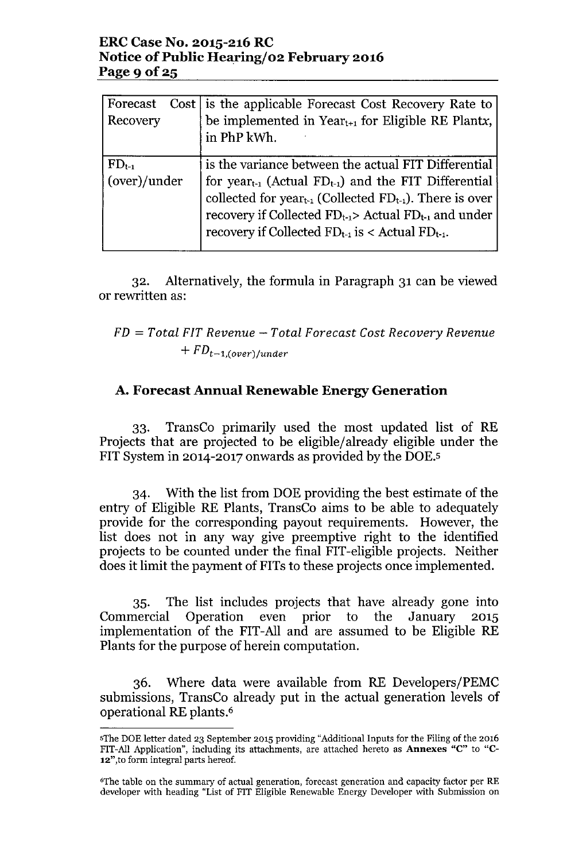### **ERC Case No. 2015-216 RC Notice of Public Hearlng/02 February 2016** Page 9 of 25

| Forecast<br>Recovery       | Cost is the applicable Forecast Cost Recovery Rate to<br>be implemented in Year <sub>t+1</sub> for Eligible RE Plantx,<br>in PhP kWh.                                                                                                                                                                                                 |
|----------------------------|---------------------------------------------------------------------------------------------------------------------------------------------------------------------------------------------------------------------------------------------------------------------------------------------------------------------------------------|
| $FD_{t-1}$<br>(over)/under | is the variance between the actual FIT Differential<br>for year <sub>t-1</sub> (Actual $FD_{t-1}$ ) and the FIT Differential<br>collected for year <sub>t-1</sub> (Collected $FD_{t-1}$ ). There is over<br>recovery if Collected $FD_{t-1}$ Actual $FD_{t-1}$ and under<br>recovery if Collected $FD_{t-1}$ is < Actual $FD_{t-1}$ . |

32. Alternatively, the formula in Paragraph 31 can be viewed or rewritten as:

# *FD* = *Total FIT Revenue - Total Forecast Cost Recovery Revenue*  $+ FD_{t-1,(over)/under}$

# **A. Forecast Annual Renewable Energy Generation**

33. TransCo primarily used the most updated list of RE Projects that are projected to be eligible/already eligible under the FIT System in 2014-2017 onwards as provided by the DOE.5

34. With the list from DOE providing the best estimate of the entry of Eligible RE Plants, TransCo aims to be able to adequately provide for the corresponding payout requirements. However, the list does not in any way give preemptive right to the identified projects to be counted under the final FIT-eligible projects. Neither does it limit the payment of FITs to these projects once implemented.

35. The list includes projects that have already gone into Commercial Operation even prior to the January 2015 implementation of the FIT-All and are assumed to be Eligible RE Plants for the purpose of herein computation.

36. Where data were available from RE Developers/PEMC submissions, TransCo already put in the actual generation levels of operational RE plants.<sup>6</sup>

sThe DOE letter dated 23 September 2015 providing "Additional Inputs for the Filing of the 2016 FIT-All Application", including its attachments, are attached hereto as Annexes "c" to "C-12",to form integral parts hereof.

<sup>6</sup>The table on the summary of actual generation, forecast generation and capacity factor per RE developer with heading "List of FIT Eligible Renewable Energy Developer with Submission on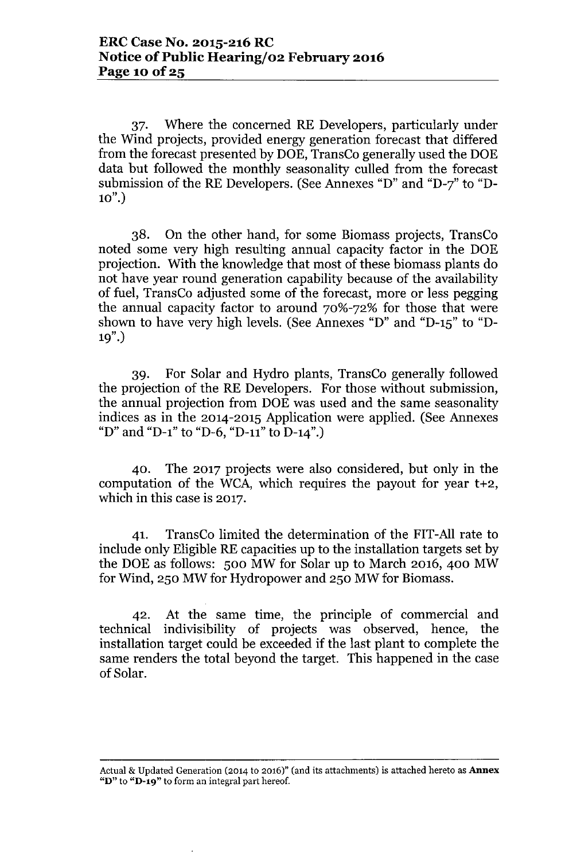37. Where the concerned RE Developers, particularly under the Wind projects, provided energy generation forecast that differed from the forecast presented by DOE, TransCo generally used the DOE data but followed the monthly seasonality culled from the forecast submission of the RE Developers. (See Annexes "D" and "D-7" to "D- $10"$ )

38. On the other hand, for some Biomass projects, TransCo noted some very high resulting annual capacity factor in the DOE projection. With the knowledge that most of these biomass plants do not have year round generation capability because of the availability of fuel, TransCo adjusted some of the forecast, more or less pegging the annual capacity factor to around 70%-72% for those that were shown to have very high levels. (See Annexes "D" and "D-15" to "D-19".)

39. For Solar and Hydro plants, TransCo generally followed the projection of the RE Developers. For those without submission, the annual projection from DOE was used and the same seasonality indices as in the 2014-2015 Application were applied. (See Annexes "D" and "D-1" to "D-6, "D-11" to D-14".)

40. The 2017 projects were also considered, but only in the computation of the WCA, which requires the payout for year t+2, which in this case is 2017.

41. TransCo limited the determination of the FIT-All rate to include only Eligible RE capacities up to the installation targets set by the DOE as follows: 500 MW for Solar up to March 2016, 400 MW for Wind, 250 MW for Hydropower and 250 MW for Biomass.

42. At the same time, the principle of commercial and technical indivisibility of projects was observed, hence, the installation target could be exceeded if the last plant to complete the same renders the total beyond the target. This happened in the case of Solar.

Actual & Updated Generation (2014 to 2016)" (and its attachments) is attached hereto as Annex " $D$ " to " $D$ -19" to form an integral part hereof.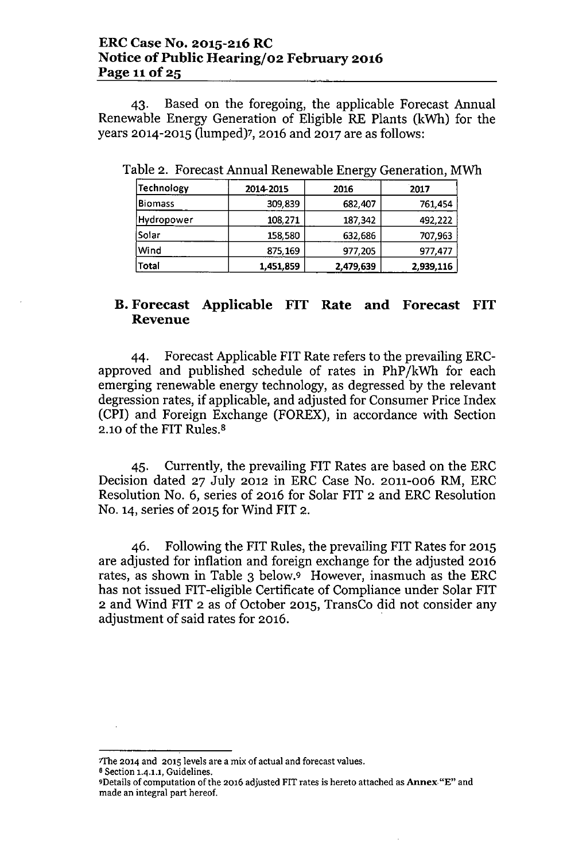#### ERCCase No. 2015-216RC Notice of Public Hearing/02 February 2016 Page 11 of 25

43. Based on the foregoing, the applicable Forecast Annual Renewable Energy Generation of Eligible RE Plants (kWh) for the years 2014-2015 (lumped)7, 2016 and 2017 are as follows:

| Technology     | 2014-2015 | 2016      | 2017      |
|----------------|-----------|-----------|-----------|
| <b>Biomass</b> | 309,839   | 682,407   | 761,454   |
| Hydropower     | 108,271   | 187,342   | 492,222   |
| Solar          | 158,580   | 632,686   | 707,963   |
| Wind           | 875,169   | 977,205   | 977,477   |
| Total          | 1,451,859 | 2,479,639 | 2,939,116 |

Table 2. Forecast Annual Renewable Energy Generation, MWh

#### B. Forecast Applicable FIT Rate and Forecast FIT Revenue

44. Forecast Applicable FIT Rate refers to the prevailing ERCapproved and published schedule of rates in PhP/kWh for each emerging renewable energy technology, as degressed by the relevant degression rates, if applicable, and adjusted for Consumer Price Index (CPI) and Foreign Exchange (FOREX), in accordance with Section 2.10 of the FIT Rules.<sup>8</sup>

45. Currently, the prevailing FIT Rates are based on the ERC Decision dated 27 July 2012 in ERC Case No. 2011-006 RM, ERC Resolution NO.6, series of 2016 for Solar FIT 2 and ERC Resolution No. 14, series of 2015 for Wind FIT 2.

46. Following the FIT Rules, the prevailing FIT Rates for 2015 are adjusted for inflation and foreign exchange for the adjusted 2016 rates, as shown in Table 3 below.9 However, inasmuch as the ERC has not issued FIT-eligible Certificate of Compliance under Solar FIT 2 and Wind FIT 2 as of October 2015, TransCo did not consider any adjustment of said rates for 2016.

<sup>1</sup>fhe 2014 and 2015 levels are a mix of actual and forecast values.

<sup>8</sup> Section 1.4.1.1, Guidelines.

<sup>&</sup>quot;Details of computation of the 2016 adjusted FIT rates is hereto attached as Annex. "E" and made an integral part hereof.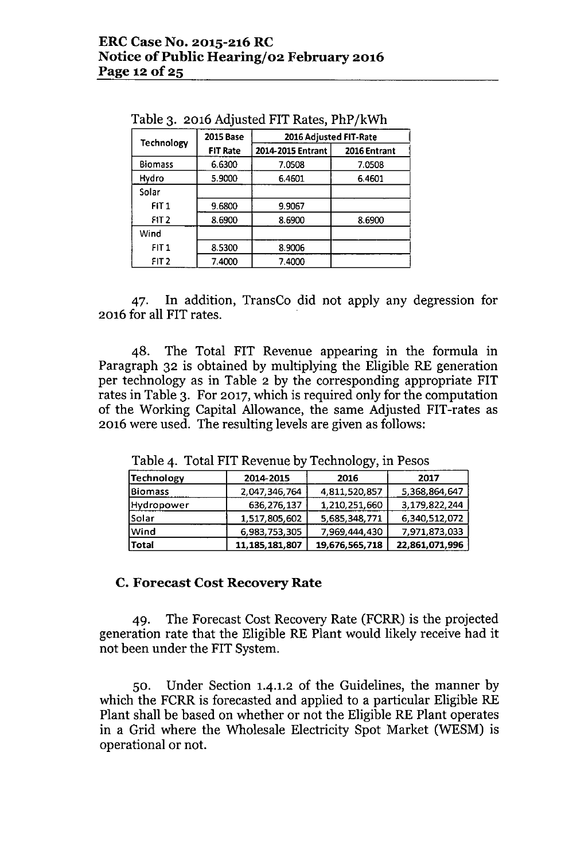| Technology       | <b>2015 Base</b> | 2016 Adjusted FIT-Rate |              |
|------------------|------------------|------------------------|--------------|
|                  | <b>FIT Rate</b>  | 2014-2015 Entrant      | 2016 Entrant |
| <b>Biomass</b>   | 6.6300           | 7.0508                 | 7.0508       |
| Hydro            | 5.9000           | 6.4601                 | 6.4601       |
| Solar            |                  |                        |              |
| FIT1             | 9.6800           | 9.9067                 |              |
| FIT <sub>2</sub> | 8.6900           | 8.6900                 | 8.6900       |
| Wind             |                  |                        |              |
| FIT1             | 8.5300           | 8.9006                 |              |
| FIT <sub>2</sub> | 7.4000           | 7.4000                 |              |

Table 3. 2016 Adjusted FIT Rates, PhP /kWh

47. In addition, TransCo did not apply any degression for 2016 for all FIT rates.

48. The Total FIT Revenue appearing in the formula in Paragraph 32 is obtained by multiplying the Eligible RE generation per technology as in Table 2 by the corresponding appropriate FIT rates in Table 3. For 2017, which is required only for the computation of the Working Capital Allowance, the same Adjusted FIT-rates as 2016 were used. The resulting levels are given as follows:

| Technology     | 2014-2015         | 2016           | 2017           |
|----------------|-------------------|----------------|----------------|
| <b>Biomass</b> | 2,047,346,764     | 4,811,520,857  | 5,368,864,647  |
| Hydropower     | 636,276,137       | 1,210,251,660  | 3,179,822,244  |
| Solar          | 1,517,805,602     | 5,685,348,771  | 6,340,512,072  |
| Wind           | 6,983,753,305     | 7,969,444,430  | 7,971,873,033  |
| <b>Total</b>   | 11, 185, 181, 807 | 19,676,565,718 | 22,861,071,996 |

Table 4. Total FIT Revenue by Technology, in Pesos

#### C. Forecast Cost Recovery Rate

49. The Forecast Cost Recovery Rate (FCRR) is the projected generation rate that the Eligible RE Plant would likely receive had it not been under the FIT System.

50. Under Section 1.4.1.2 of the Guidelines, the manner by which the FCRR is forecasted and applied to a particular Eligible RE Plant shall be based on whether or not the Eligible RE Plant operates in a Grid where the Wholesale Electricity Spot Market (WESM) is operational or not.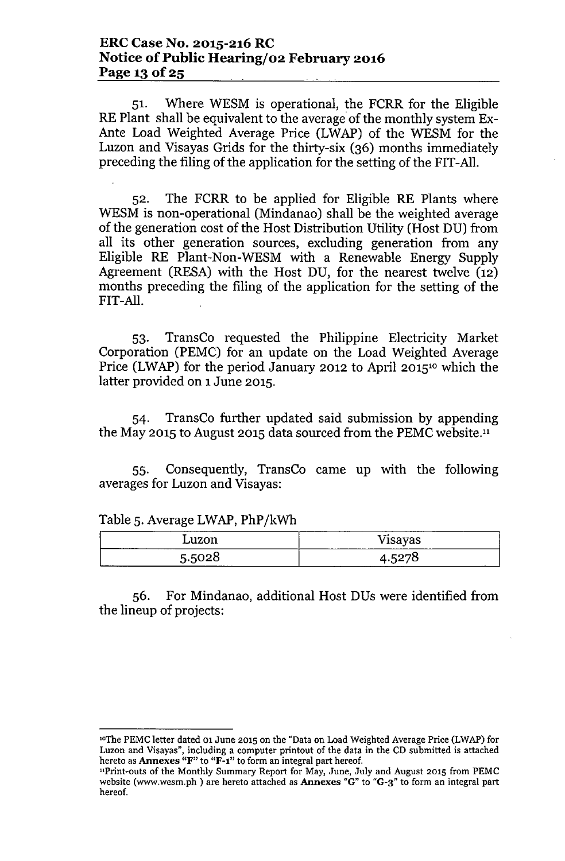51. Where WESM is operational, the FCRR for the Eligible RE Plant shall be equivalent to the average of the monthly system Ex-Ante Load Weighted Average Price (LWAP) of the WESM for the Luzon and Visayas Grids for the thirty-six (36) months immediately preceding the filing of the application for the setting of the FIT-All.

52. The FCRR to be applied for Eligible RE Plants where WESM is non-operational (Mindanao) shall be the weighted average of the generation cost of the Host Distribution Utility (Host DU) from all its other generation sources, excluding generation from any Eligible RE Plant-Non-WESM with a Renewable Energy Supply Agreement (RESA) with the Host DU, for the nearest twelve (12) months preceding the filing of the application for the setting of the FIT-All.

53. TransCo requested the Philippine Electricity Market Corporation (PEMC) for an update on the Load Weighted Average Price (LWAP) for the period January 2012 to April 2015<sup>10</sup> which the latter provided on 1June 2015.

54. TransCo further updated said submission by appending the May 2015 to August 2015 data sourced from the PEMC website."

55. Consequently, TransCo came up with the following averages for Luzon and Visayas:

| $-$<br>____<br>________                                                                                         |                                                                          |
|-----------------------------------------------------------------------------------------------------------------|--------------------------------------------------------------------------|
| $\cdots$<br>LUZOII<br>------------                                                                              | $\mathbf{v}$<br>$-0.000000$<br>v isayas<br>-------<br>------<br>-------- |
| 5.500 <sup>0</sup><br>ე.ე∪∠∪<br>the contract of the contract of the contract of the contract of the contract of | ت ⊤                                                                      |

Table 5. Average LWAP, PhP/kWh

56. For Mindanao, additional Host DUs were identified from the lineup of projects:

loThe PEMC letter dated 01 June 2015 on the "Data on Load Weighted Average Price (LWAP) for Luzon and Visayas", including a computer printout of the data in the CD submitted is attached hereto as Annexes "F" to "F-I" to form an integral part hereof.

<sup>&</sup>quot;Print-outs of the Monthly Summary Report for May, June, July and August 2015 from PEMC website [\(www.wesm.ph](http://www.wesm.ph) ) are hereto attached as Annexes "G" to "G-3" to form an integral part hereof.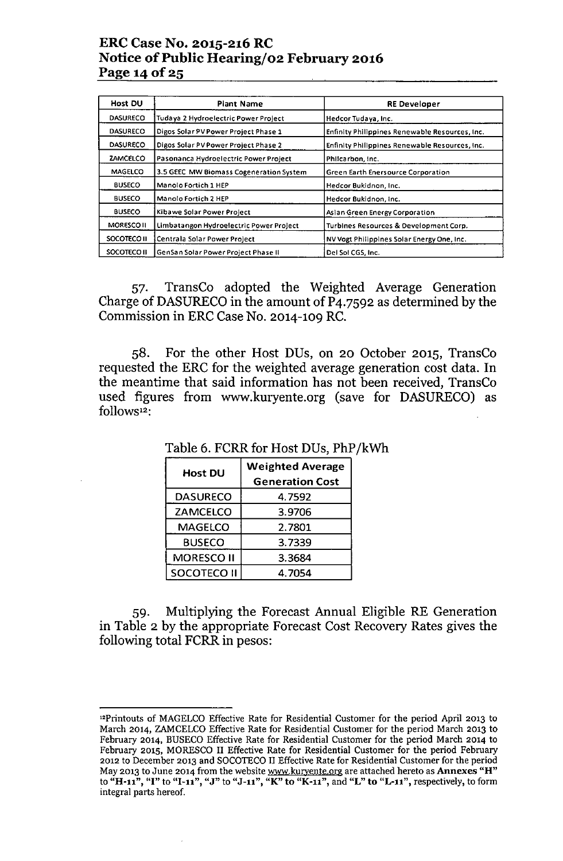### ERC Case No. 2015-216 RC Notice of Public Hearing/02 February 2016 Page 14 of 25

| Host DU            | <b>Plant Name</b>                       | <b>RE Developer</b>                                   |
|--------------------|-----------------------------------------|-------------------------------------------------------|
| <b>DASURECO</b>    | Tudaya 2 Hydroelectric Power Project    | Hedcor Tudaya, Inc.                                   |
| <b>DASURECO</b>    | Digos Solar PV Power Project Phase 1    | Enfinity Philippines Renewable Resources, Inc.        |
| <b>DASURECO</b>    | Digos Solar PV Power Project Phase 2    | <b>Enfinity Philippines Renewable Resources, Inc.</b> |
| <b>ZAMCELCO</b>    | Pasonanca Hydroelectric Power Project   | Philcarbon, Inc.                                      |
| <b>MAGELCO</b>     | 3.5 GEEC MW Biomass Cogeneration System | Green Earth Enersource Corporation                    |
| <b>BUSECO</b>      | Manolo Fortich 1 HEP                    | Hedcor Bukidnon, Inc.                                 |
| <b>BUSECO</b>      | <b>Manolo Fortich 2 HEP</b>             | Hedcor Bukidnon, Inc.                                 |
| <b>BUSECO</b>      | Kibawe Solar Power Project              | Asian Green Energy Corporation                        |
| <b>MORESCO II</b>  | Limbatangon Hydroelectric Power Project | Turbines Resources & Development Corp.                |
| SOCOTECO II        | Centrala Solar Power Project            | NV Vogt Philippines Solar Energy One, Inc.            |
| <b>SOCOTECO II</b> | GenSan Solar Power Project Phase II     | Del Sol CGS, Inc.                                     |

57. TransCo adopted the Weighted Average Generation Charge of DASURECO in the amount of P4.7592 as determined by the Commission in ERC Case No. 2014-109 RC.

58. For the other Host DUs, on 20 October 2015, TransCo requested the ERC for the weighted average generation cost data. In the meantime that said information has not been received, TransCo used figures from [www.kuryente.org](http://www.kuryente.org) (save for DASURECO) as follows<sup>12</sup>:

| <b>Host DU</b>     | <b>Weighted Average</b> |
|--------------------|-------------------------|
|                    | <b>Generation Cost</b>  |
| <b>DASURECO</b>    | 4.7592                  |
| <b>ZAMCELCO</b>    | 3.9706                  |
| <b>MAGELCO</b>     | 2.7801                  |
| <b>BUSECO</b>      | 3.7339                  |
| <b>MORESCO II</b>  | 3.3684                  |
| <b>SOCOTECO II</b> | 4.7054                  |

Table 6. FCRR for Host DUs, PhP /kWh

59. Multiplying the Forecast Annual Eligible RE Generation in Table 2 by the appropriate Forecast Cost Recovery Rates gives the following total FCRR in pesos:

<sup>&</sup>quot;Printouts of MAGELCO Effective Rate for Residential Customer for the period April 2013 to March 2014, ZAMCELCO Effective Rate for Residential Customer for the period March 2013 to February 2014, BUSECO Effective Rate for Residential Customer for the period March 2014 to February 2015, MORESCO II Effective Rate for Residential Customer for the period February 2012 to December 2013 and SOCOTECO II Effective Rate for Residential Customer for the period May 2013 to June 2014 from the website <u>www.kuryente.or</u>g are attached hereto as **Annexes "H**' to "H-11", "I" to "I-11", "J" to "J-11", "K" to "K-11", and "L" to "L-11", respectively, to form integral parts hereof.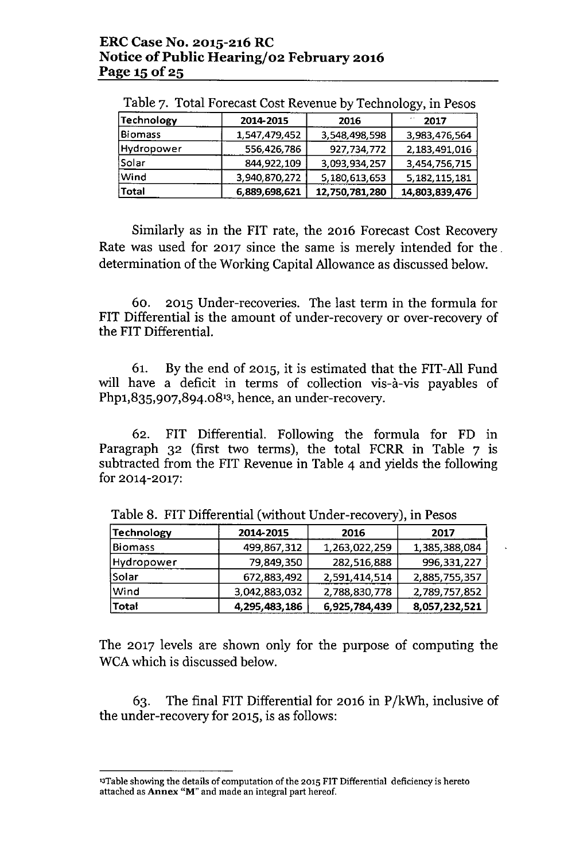|                |               |                | . . <i>. .</i>   |
|----------------|---------------|----------------|------------------|
| Technology     | 2014-2015     | 2016           | 2017             |
| <b>Biomass</b> | 1,547,479,452 | 3,548,498,598  | 3,983,476,564    |
| Hydropower     | 556,426,786   | 927,734,772    | 2,183,491,016    |
| Solar          | 844,922,109   | 3,093,934,257  | 3,454,756,715    |
| Wind           | 3,940,870,272 | 5,180,613,653  | 5, 182, 115, 181 |
| Total          | 6,889,698,621 | 12,750,781,280 | 14,803,839,476   |

Table 7. Total Forecast Cost Revenue by Technology, in Pesos

Similarly as in the FIT rate, the 2016 Forecast Cost Recovery Rate was used for 2017 since the same is merely intended for the. determination of the Working Capital Allowance as discussed below.

60. 2015 Under-recoveries. The last term in the formula for FIT Differential is the amount of under-recovery or over-recovery of the FIT Differential.

61. By the end of 2015, it is estimated that the FIT-All Fund will have a deficit in terms of collection vis-à-vis payables of Php1,835,907,894.08<sup>13</sup>, hence, an under-recovery.

62. FIT Differential. Following the formula for FD in Paragraph  $32$  (first two terms), the total FCRR in Table  $7$  is subtracted from the FIT Revenue in Table 4 and yields the following for 2014-2017:

| <b>Technology</b> | 2014-2015     | 2016          | 2017          |
|-------------------|---------------|---------------|---------------|
| <b>Biomass</b>    | 499,867,312   | 1,263,022,259 | 1,385,388,084 |
| Hydropower        | 79,849,350    | 282,516,888   | 996,331,227   |
| Solar             | 672,883,492   | 2,591,414,514 | 2,885,755,357 |
| Wind              | 3,042,883,032 | 2,788,830,778 | 2,789,757,852 |
| Total             | 4,295,483,186 | 6,925,784,439 | 8,057,232,521 |

Table 8. FIT Differential (without Under-recovery), in Pesos

The 2017 levels are shown only for the purpose of computing the WCA which is discussed below.

63. The final FIT Differential for 2016 in P/kWh, inclusive of the under-recovery for 2015, is as follows:

<sup>&</sup>lt;sup>13</sup>Table showing the details of computation of the 2015 FIT Differential deficiency is hereto attached as Annex "M" and made an integral part hereof.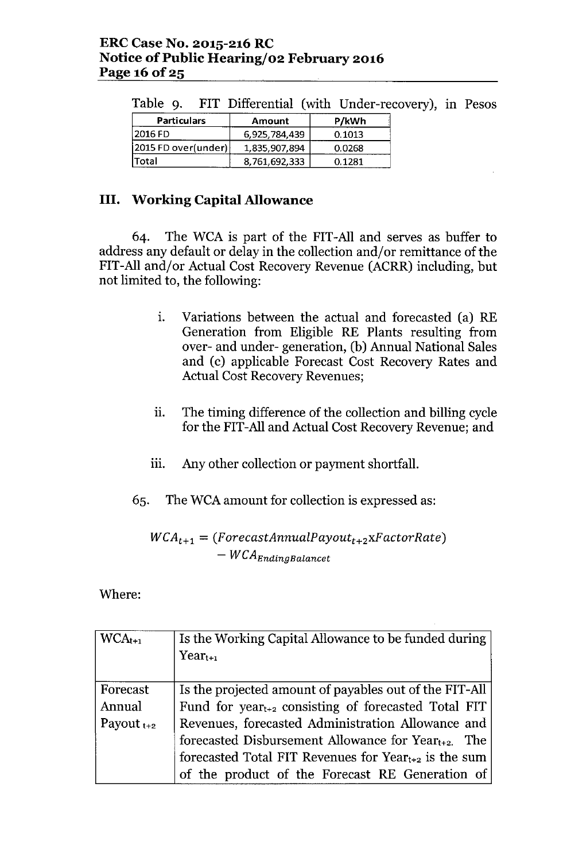| Table 9. FIT Differential (with Under-recovery), i |               |        |  |  |  |  |
|----------------------------------------------------|---------------|--------|--|--|--|--|
| <b>Particulars</b>                                 | <b>Amount</b> | P/kWh  |  |  |  |  |
| 2016 FD                                            | 6,925,784,439 | 0.1013 |  |  |  |  |
| 2015 FD over(under)                                | 1,835,907,894 | 0.0268 |  |  |  |  |
| Total                                              | 8,761,692,333 | 0.1281 |  |  |  |  |

Table 9. FIT Differential (with Under-recovery), in Pesos

# **III.** Working Capital Allowance

64. The WCA is part of the FIT-All and serves as buffer to address any default or delay in the collection and/or remittance of the FIT-All and/or Actual Cost Recovery Revenue (ACRR) including, but not limited to, the following:

- 1. Variations between the actual and forecasted (a) RE Generation from Eligible RE Plants resulting from over- and under- generation, (b) Annual National Sales and (c) applicable Forecast Cost Recovery Rates and Actual Cost Recovery Revenues;
- ii. The timing difference of the collection and billing cycle for the FIT-All and Actual Cost Recovery Revenue; and
- iii. Any other collection or payment shortfall.
- 65. The WCA amount for collection is expressed as:

 $WCA_{t+1} = (ForecastAnnualPayout_{t+2}xFactorRate)$ *- WCAEndingBalancet*

Where:

| $WCA_{t+1}$     | Is the Working Capital Allowance to be funded during            |
|-----------------|-----------------------------------------------------------------|
|                 | $Year_{t+1}$                                                    |
|                 |                                                                 |
| Forecast        | Is the projected amount of payables out of the FIT-All          |
| Annual          | Fund for year <sub>t+2</sub> consisting of forecasted Total FIT |
| Payout $t_{+2}$ | Revenues, forecasted Administration Allowance and               |
|                 | forecasted Disbursement Allowance for $Year_{t+2}$ . The        |
|                 | forecasted Total FIT Revenues for $Year_{t+2}$ is the sum       |
|                 | of the product of the Forecast RE Generation of                 |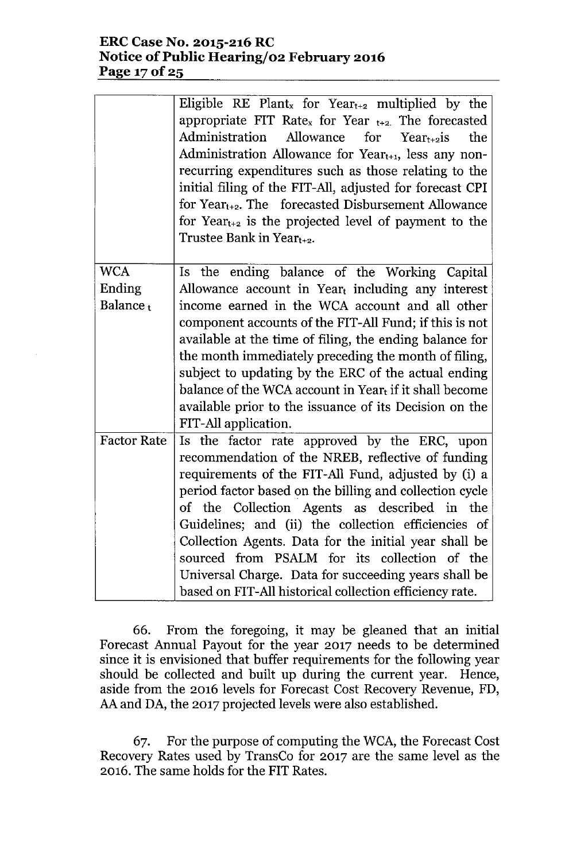#### **ERCCase No. 2015-216 RC Notice** of Public **Hearing/02 February 2016 Page 170f25**

|                      | Eligible RE Plant <sub>x</sub> for Year <sub>t+2</sub> multiplied by the<br>appropriate FIT Rate <sub>x</sub> for Year $_{t+2}$ . The forecasted<br>Administration Allowance<br>for $Year_{t+2}$ is<br>the<br>Administration Allowance for Year $_{t+1}$ , less any non-<br>recurring expenditures such as those relating to the<br>initial filing of the FIT-All, adjusted for forecast CPI<br>for $Year_{t+2}$ . The forecasted Disbursement Allowance<br>for $Year_{t+2}$ is the projected level of payment to the<br>Trustee Bank in Year <sub>t+2</sub> . |
|----------------------|----------------------------------------------------------------------------------------------------------------------------------------------------------------------------------------------------------------------------------------------------------------------------------------------------------------------------------------------------------------------------------------------------------------------------------------------------------------------------------------------------------------------------------------------------------------|
| <b>WCA</b>           | Is the ending balance of the Working Capital                                                                                                                                                                                                                                                                                                                                                                                                                                                                                                                   |
| Ending               | Allowance account in Yeart including any interest                                                                                                                                                                                                                                                                                                                                                                                                                                                                                                              |
| Balance <sub>t</sub> | income earned in the WCA account and all other                                                                                                                                                                                                                                                                                                                                                                                                                                                                                                                 |
|                      | component accounts of the FIT-All Fund; if this is not                                                                                                                                                                                                                                                                                                                                                                                                                                                                                                         |
|                      | available at the time of filing, the ending balance for                                                                                                                                                                                                                                                                                                                                                                                                                                                                                                        |
|                      | the month immediately preceding the month of filing,                                                                                                                                                                                                                                                                                                                                                                                                                                                                                                           |
|                      | subject to updating by the ERC of the actual ending                                                                                                                                                                                                                                                                                                                                                                                                                                                                                                            |
|                      | balance of the WCA account in Year $_{t}$ if it shall become                                                                                                                                                                                                                                                                                                                                                                                                                                                                                                   |
|                      | available prior to the issuance of its Decision on the                                                                                                                                                                                                                                                                                                                                                                                                                                                                                                         |
|                      | FIT-All application.                                                                                                                                                                                                                                                                                                                                                                                                                                                                                                                                           |
| <b>Factor Rate</b>   | Is the factor rate approved by the ERC, upon                                                                                                                                                                                                                                                                                                                                                                                                                                                                                                                   |
|                      | recommendation of the NREB, reflective of funding                                                                                                                                                                                                                                                                                                                                                                                                                                                                                                              |
|                      | requirements of the FIT-All Fund, adjusted by (i) a                                                                                                                                                                                                                                                                                                                                                                                                                                                                                                            |
|                      | period factor based on the billing and collection cycle                                                                                                                                                                                                                                                                                                                                                                                                                                                                                                        |
|                      | of the Collection Agents as described in the<br>Guidelines; and (ii) the collection efficiencies of                                                                                                                                                                                                                                                                                                                                                                                                                                                            |
|                      | Collection Agents. Data for the initial year shall be                                                                                                                                                                                                                                                                                                                                                                                                                                                                                                          |
|                      | sourced from PSALM for its collection of the                                                                                                                                                                                                                                                                                                                                                                                                                                                                                                                   |
|                      | Universal Charge. Data for succeeding years shall be                                                                                                                                                                                                                                                                                                                                                                                                                                                                                                           |
|                      | based on FIT-All historical collection efficiency rate.                                                                                                                                                                                                                                                                                                                                                                                                                                                                                                        |

66. From the foregoing, it may be gleaned that an initial Forecast Annual Payout for the year 2017 needs to be determined since it is envisioned that buffer requirements for the following year should be collected and built up during the current year. Hence, aside from the 2016 levels for Forecast Cost Recovery Revenue, FD, AAand DA, the 2017 projected levels were also established.

67. For the purpose of computing the WCA, the Forecast Cost Recovery Rates used by TransCo for 2017 are the same level as the 2016. The same holds for the FIT Rates.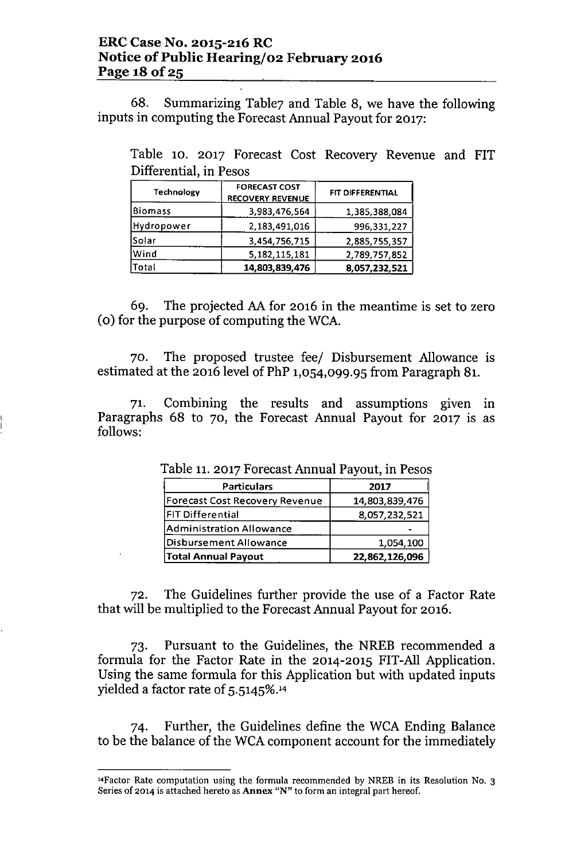68. Summarizing Table7 and Table 8, we have the following inputs in computing the Forecast Annual Payout for 2017:

Table 10. 2017 Forecast Cost Recovery Revenue and FIT Differential, in Pesos

| <b>Technology</b> | <b>FORECAST COST</b><br><b>RECOVERY REVENUE</b> | FIT DIFFERENTIAL |  |
|-------------------|-------------------------------------------------|------------------|--|
| Biomass           | 3,983,476,564                                   | 1,385,388,084    |  |
| Hydropower        | 2,183,491,016                                   | 996,331,227      |  |
| <b>Solar</b>      | 3,454,756,715                                   | 2,885,755,357    |  |
| Wind              | 5, 182, 115, 181                                | 2,789,757,852    |  |
| <b>Total</b>      | 14,803,839,476                                  | 8,057,232,521    |  |

69. The projected AAfor 2016 in the meantime is set to zero (0) for the purpose of computing the WCA.

70. The proposed trustee feel Disbursement Allowance is estimated at the 2016 level of PhP 1,054,099.95 from Paragraph 81.

71. Combining the results and assumptions given in Paragraphs 68 to 70, the Forecast Annual Payout for 2017 is as follows:

| <b>Particulars</b>                    | 2017           |
|---------------------------------------|----------------|
| <b>Forecast Cost Recovery Revenue</b> | 14,803,839,476 |
| <b>FIT Differential</b>               | 8,057,232,521  |
| <b>Administration Allowance</b>       |                |
| <b>Disbursement Allowance</b>         | 1,054,100      |
| <b>Total Annual Payout</b>            | 22,862,126,096 |

Table 11.2017 Forecast Annual Payout, in Pesos

72. The Guidelines further provide the use of a Factor Rate that will be multiplied to the Forecast Annual Payout for 2016.

73. Pursuant to the Guidelines, the NREB recommended a formula for the Factor Rate in the 2014-2015 FIT-All Application. Using the same formula for this Application but with updated inputs yielded a factor rate of 5.5145%.'<sup>4</sup>

74. Further, the Guidelines define the WCA Ending Balance to be the balance of the WCA component account for the immediately

<sup>&</sup>lt;sup>14</sup>Factor Rate computation using the formula recommended by NREB in its Resolution No. 3 Series of 2014 is attached hereto as Annex "N" to form an integral part hereof.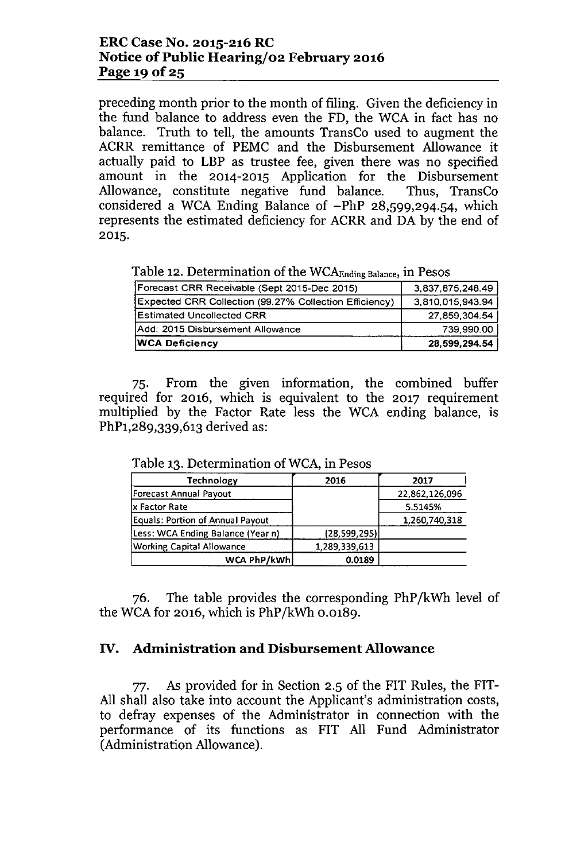#### ERCCase No. 2015-216RC Notice of Public Hearing/02 February 2016 Page 19 of  $25$

preceding month prior to the month of filing. Given the deficiency in the fund balance to address even the FD, the WCA in fact has no balance. Truth to tell, the amounts TransCo used to augment the ACRR remittance of PEMC and the Disbursement Allowance it actually paid to LBP as trustee fee, given there was no specified amount in the 2014-2015 Application for the Disbursement Allowance, constitute negative fund balance. Thus, TransCo considered a WCA Ending Balance of -PhP 28,599,294.54, which represents the estimated deficiency for ACRR and DA by the end of 2015.

Table 12. Determination of the WCA<sub>Ending Balance</sub>, in Pesos

| <b>WCA Deficiency</b>                                  | 28,599,294.54    |
|--------------------------------------------------------|------------------|
| Add: 2015 Disbursement Allowance                       | 739.990.00       |
| Estimated Uncollected CRR                              | 27,859,304.54    |
| Expected CRR Collection (99.27% Collection Efficiency) | 3,810,015,943.94 |
| Forecast CRR Receivable (Sept 2015-Dec 2015)           | 3,837,875,248.49 |

75. From the given information, the combined buffer required for 2016, which is equivalent to the 2017 requirement multiplied by the Factor Rate less the WCA ending balance, is PhP1,289,339,613 derived as:

| <b>Technology</b>                       | 2016          | 2017           |
|-----------------------------------------|---------------|----------------|
| Forecast Annual Payout                  |               | 22,862,126,096 |
| x Factor Rate                           |               | 5.5145%        |
| <b>Equals: Portion of Annual Payout</b> |               | 1,260,740,318  |
| Less: WCA Ending Balance (Year n)       | (28,599,295)  |                |
| <b>Working Capital Allowance</b>        | 1,289,339,613 |                |
| WCA PhP/kWh                             | 0.0189        |                |

Table 13. Determination of WCA, in Pesos

76. The table provides the corresponding PhP /kWh level of the WCA for 2016, which is PhP /kWh 0.0189.

### IV. Administration and Disbursement Allowance

77. As provided for in Section 2.5 of the FIT Rules, the FIT-All shall also take into account the Applicant's administration costs, to defray expenses of the Administrator in connection with the performance of its functions as FIT All Fund Administrator (Administration Allowance).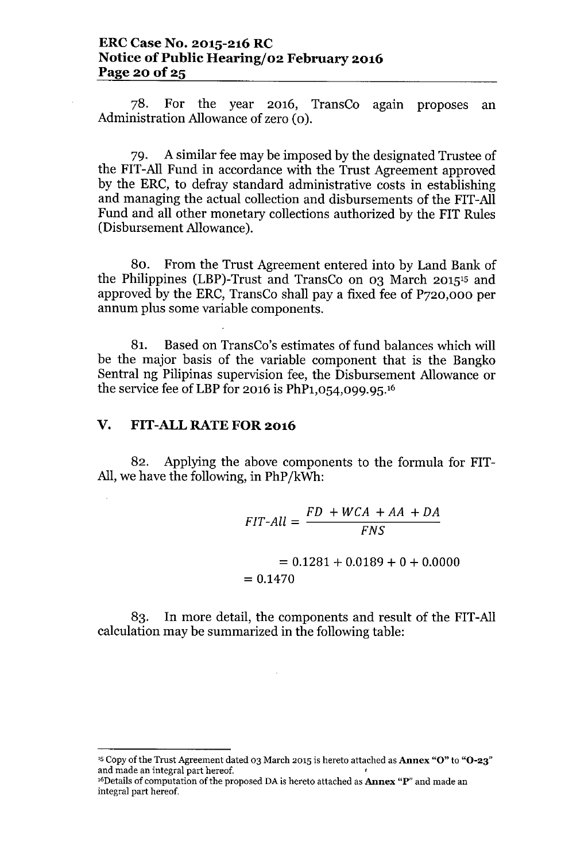78. For the year 2016, TransCo agam proposes an Administration Allowance of zero (0).

79. A similar fee may be imposed by the designated Trustee of the FIT-All Fund in accordance with the Trust Agreement approved by the ERC, to defray standard administrative costs in establishing and managing the actual collection and disbursements of the FIT-All Fund and all other monetary collections authorized by the FIT Rules (Disbursement Allowance).

80. From the Trust Agreement entered into by Land Bank of the Philippines (LBP)-Trust and TransCo on 03 March 2015'5 and approved by the ERC, TransCo shall pay a fixed fee of P720,000 per annum plus some variable components.

81. Based on TransCo's estimates of fund balances which will be the major basis of the variable component that is the Bangko Sentral ng Pilipinas supervision fee, the Disbursement Allowance or the service fee of LBP for 2016 is PhP1,054,099.95.<sup>16</sup>

### v. FIT-ALL RATE FOR 2016

82. Applying the above components to the formula for FIT-All,we have the following, in PhP/kWh:

> *FIT-All = FD* + *WCA* + *AA* + *DA FNS*  $= 0.1281 + 0.0189 + 0 + 0.0000$  $= 0.1470$

83. In more detail, the components and result of the FIT-All calculation may be summarized in the following table:

<sup>&</sup>lt;sup>15</sup> Copy of the Trust Agreement dated 03 March 2015 is hereto attached as **Annex "O"** to "O-23" and made an integral part hereof. '

<sup>&</sup>lt;sup>16</sup>Details of computation of the proposed DA is hereto attached as **Annex "P**" and made an integral part hereof.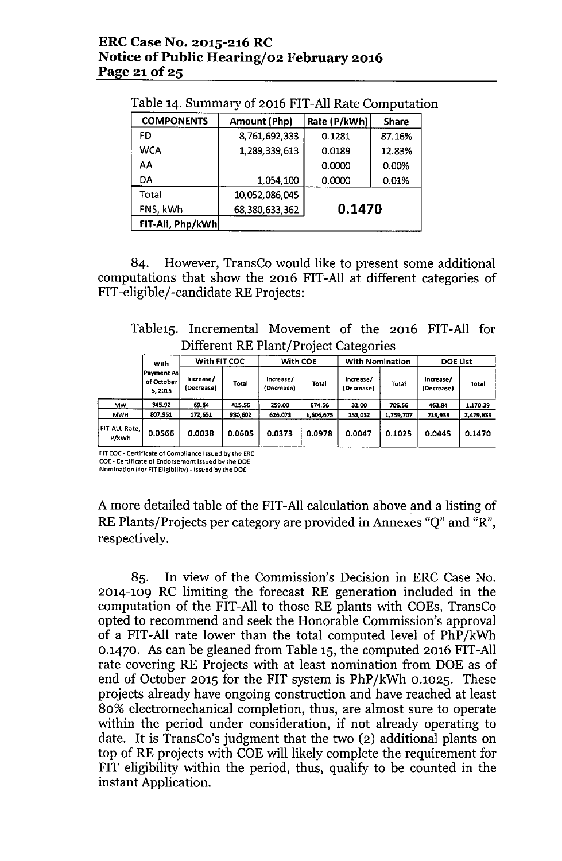#### ERC Case No. 2015-216 RC Notice of Public Hearing/02 February 2016 Page 21 of 25

| Table 14. Summary of 2016 FIT-All Rate Computation |  |  |
|----------------------------------------------------|--|--|
|----------------------------------------------------|--|--|

| <b>COMPONENTS</b> | Amount (Php)   | Rate (P/kWh) | <b>Share</b> |  |
|-------------------|----------------|--------------|--------------|--|
| FD                | 8,761,692,333  | 0.1281       | 87.16%       |  |
| <b>WCA</b>        | 1,289,339,613  | 0.0189       | 12.83%       |  |
| AA                |                | 0.0000       | 0.00%        |  |
| DA                | 1,054,100      | 0.0000       | 0.01%        |  |
| <b>Total</b>      | 10,052,086,045 |              |              |  |
| FNS, kWh          | 68,380,633,362 | 0.1470       |              |  |
| FIT-All, Php/kWh  |                |              |              |  |

84. However, TransCo would like to present some additional computations that show the 2016 FIT-All at different categories of FIT-eligible/-candidate RE Projects:

Table15. Incremental Movement of the 2016 FIT-All for Different RE Plant/Project Categories

|                          | With                                 | With FIT COC             |              | With COE                |           | <b>With Nomination</b>  |           | <b>DOE List</b>         |           |
|--------------------------|--------------------------------------|--------------------------|--------------|-------------------------|-----------|-------------------------|-----------|-------------------------|-----------|
|                          | lPayment Asl<br>of October<br>5.2015 | Increase/<br>(Decrease). | <b>Total</b> | Increase/<br>(Decrease) | Total     | Increase/<br>(Decrease) | Total     | Increase/<br>(Decrease) | Total     |
| <b>MW</b>                | 345.92                               | 69.64                    | 415.56       | 259.00                  | 674.56    | 32.00                   | 706.56    | 463.84                  | 1,170.39  |
| <b>MWH</b>               | 807,951                              | 172,651                  | 980.602      | 626,073                 | 1,606.675 | 153,032                 | 1,759,707 | 719.933                 | 2,479,639 |
| FIT-ALL Rate, I<br>P/kWh | 0.0566                               | 0.0038                   | 0.0605       | 0.0373                  | 0.0978    | 0.0047                  | 0.1025    | 0.0445                  | 0.1470    |

FIT COC - Certificate of Compliance Issued by the ERC COE. Certificate of Endorsement Issued by the DOE

Nomination (for FIT Eligibility) -Issued by the DOE

A more detailed table of the FIT-All calculation above and a listing of RE Plants/Projects per category are provided in Annexes "Q" and "R", respectively.

85. In view of the Commission's Decision in ERC Case No. 2014-109 RC limiting the forecast RE generation included in the computation of the FIT-All to those RE plants with COEs, TransCo opted to recommend and seek the Honorable Commission's approval of a FIT-All rate lower than the total computed level of PhP/kWh 0.1470. As can be gleaned from Table 15, the computed 2016 FIT-All rate covering RE Projects with at least nomination from DOE as of end of October 2015 for the FIT system is PhP/kWh 0.1025. These projects already have ongoing construction and have reached at least 80% electromechanical completion, thus, are almost sure to operate within the period under consideration, if not already operating to date. It is TransCo's judgment that the two (2) additional plants on top of RE projects with COE will likely complete the requirement for FIT eligibility within the period, thus, qualify to be counted in the instant Application.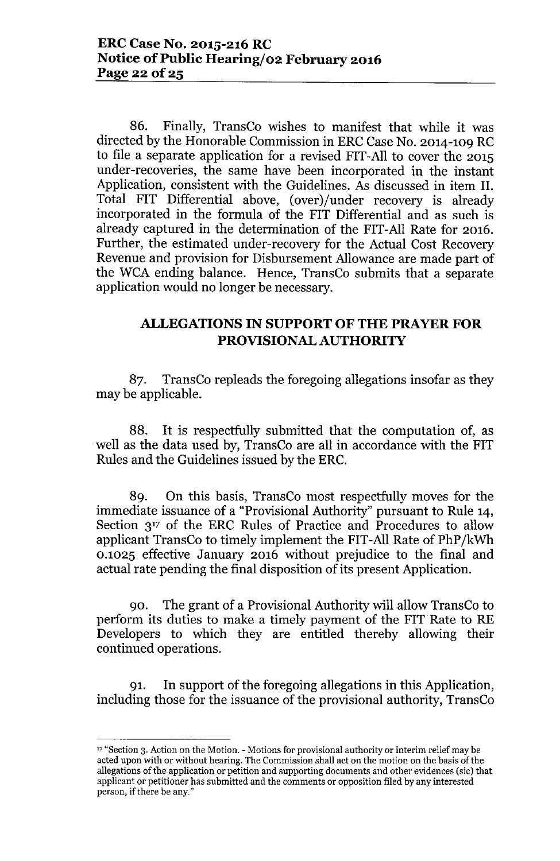86. Finally, TransCo wishes to manifest that while it was directed by the Honorable Commission in ERC Case No. 2014-109 RC to file a separate application for a revised FIT-All to cover the 2015 under-recoveries, the same have been incorporated in the instant Application, consistent with the Guidelines. As discussed in item II. Total FIT Differential above, (over)/under recovery is already incorporated in the formula of the FIT Differential and as such is already captured in the determination of the FIT-All Rate for 2016. Further, the estimated under-recovery for the Actual Cost Recovery Revenue and provision for Disbursement Allowance are made part of the WCA ending balance. Hence, TransCo submits that a separate application would no longer be necessary.

## ALLEGATIONS IN SUPPORT OF THE PRAYER FOR PROVISIONAL AUTHORITY

87. TransCo repleads the foregoing allegations insofar as they may be applicable.

88. It is respectfully submitted that the computation of, as well as the data used by, TransCo are all in accordance with the FIT Rules and the Guidelines issued by the ERC.

89. On this basis, TransCo most respectfully moves for the immediate issuance of a "Provisional Authority" pursuant to Rule 14, Section 3<sup>17</sup> of the ERC Rules of Practice and Procedures to allow applicant TransCo to timely implement the FIT-All Rate of PhP/kWh 0.1025 effective January 2016 without prejudice to the final and actual rate pending the final disposition of its present Application.

90. The grant of a Provisional Authority will allow TransCo to perform its duties to make a timely payment of the FIT Rate to RE Developers to which they are entitled thereby allowing their continued operations.

91. In support of the foregoing allegations in this Application, including those for the issuance of the provisional authority, TransCo

<sup>&</sup>lt;sup>17</sup> "Section 3. Action on the Motion. - Motions for provisional authority or interim relief may be acted upon with or without hearing. The Commission shall act on the motion on the basis of the allegations of the application or petition and supporting documents and other evidences (sic) that applicant or petitioner has submitted and the comments or opposition filed by any interested person, if there be any."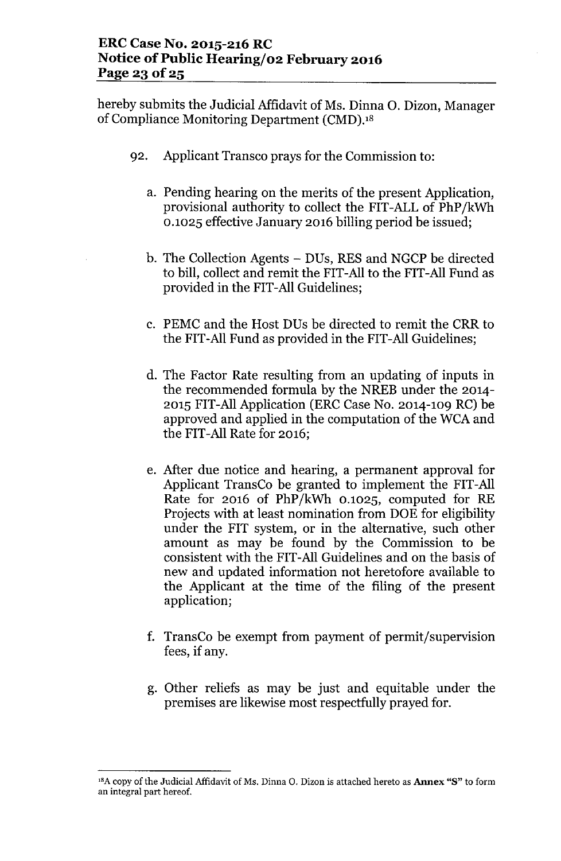hereby submits the Judicial Affidavit of Ms. Dinna O. Dizon, Manager of Compliance Monitoring Department (CMD).<sup>18</sup>

- 92. Applicant Transco prays for the Commission to:
	- a. Pending hearing on the merits of the present Application, provisional authority to collect the FIT-ALL of PhP/kWh 0.1025 effective January 2016 billing period be issued;
	- b. The Collection Agents DUs, RES and NGCP be directed to bill, collect and remit the FIT-All to the FIT-All Fund as provided in the FIT-All Guidelines;
	- c. PEMC and the Host DUs be directed to remit the CRR to the FIT-All Fund as provided in the FIT-All Guidelines;
	- d. The Factor Rate resulting from an updating of inputs in the recommended formula by the NREB under the 2014- 2015 FIT-All Application (ERC Case No. 2014-109 RC) be approved and applied in the computation of the WCA and the FIT-All Rate for 2016;
	- e. After due notice and hearing, a permanent approval for Applicant TransCo be granted to implement the FIT-All Rate for 2016 of PhP/kWh 0.1025, computed for RE Projects with at least nomination from DOE for eligibility under the FIT system, or in the alternative, such other amount as may be found by the Commission to be consistent with the FIT-All Guidelines and on the basis of new and updated information not heretofore available to the Applicant at the time of the filing of the present application;
	- f. TransCo be exempt from payment of permit/supervision fees, if any.
	- g. Other reliefs as may be just and equitable under the premises are likewise most respectfully prayed for.

 $^{18}A$  copy of the Judicial Affidavit of Ms. Dinna O. Dizon is attached hereto as Annex "S" to form an integral part hereof.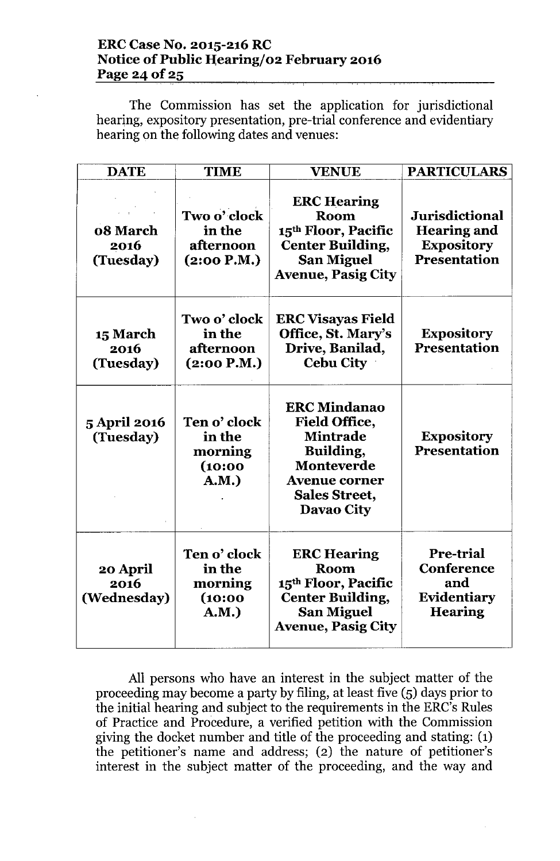### **ERCCase No. 2015-216 RC Notice** of Public **H;earingj02 February 2016 Page** 24 of 25

The Commission has set the application for jurisdictional hearing, expository presentation, pre-trial conference and evidentiary hearing on the following dates and venues:

| <b>DATE</b>                          | <b>TIME</b>                                           | <b>VENUE</b>                                                                                                                                            | <b>PARTICULARS</b>                                                               |
|--------------------------------------|-------------------------------------------------------|---------------------------------------------------------------------------------------------------------------------------------------------------------|----------------------------------------------------------------------------------|
| 08 March<br>2016<br>(Tuesday)        | Two o' clock<br>in the<br>afternoon<br>(2:00 P.M.)    | <b>ERC Hearing</b><br><b>Room</b><br>15 <sup>th</sup> Floor, Pacific<br><b>Center Building,</b><br><b>San Miguel</b><br><b>Avenue, Pasig City</b>       | Jurisdictional<br><b>Hearing and</b><br><b>Expository</b><br><b>Presentation</b> |
| <b>15 March</b><br>2016<br>(Tuesday) | Two o' clock<br>in the<br>afternoon<br>(2:00 P.M.)    | <b>ERC Visayas Field</b><br>Office, St. Mary's<br>Drive, Banilad,<br><b>Cebu City</b>                                                                   | <b>Expository</b><br><b>Presentation</b>                                         |
| <b>5 April 2016</b><br>(Tuesday)     | Ten o' clock<br>in the<br>morning<br>(10:00)<br>A.M.) | <b>ERC Mindanao</b><br><b>Field Office,</b><br><b>Mintrade</b><br>Building,<br>Monteverde<br><b>Avenue corner</b><br><b>Sales Street,</b><br>Davao City | <b>Expository</b><br><b>Presentation</b>                                         |
| 20 April<br>2016<br>(Wednesday)      | Ten o' clock<br>in the<br>morning<br>(10:00)<br>A.M.) | <b>ERC Hearing</b><br><b>Room</b><br>15 <sup>th</sup> Floor, Pacific<br><b>Center Building,</b><br><b>San Miguel</b><br><b>Avenue, Pasig City</b>       | Pre-trial<br><b>Conference</b><br>and<br>Evidentiary<br><b>Hearing</b>           |

All persons who have an interest in the subject matter of the proceeding may become a party by filing, at least five (5) days prior to the initial hearing and subject to the requirements in the ERC's Rules of Practice and Procedure, a verified petition with the Commission giving the docket number and title of the proceeding and stating: (1) the petitioner's name and address; (2) the nature of petitioner's interest in the subject matter of the proceeding, and the way and